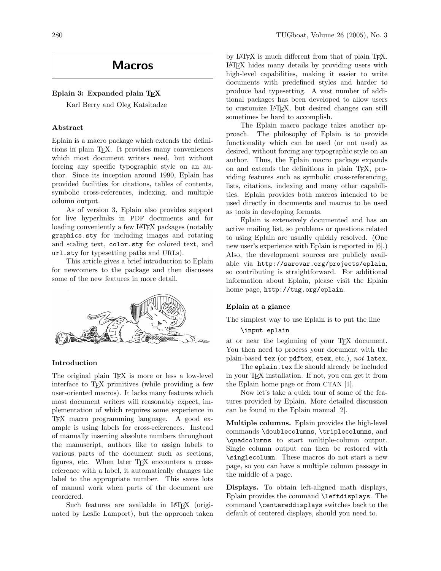# Macros

# Eplain 3: Expanded plain TFX

Karl Berry and Oleg Katsitadze

# Abstract

Eplain is a macro package which extends the definitions in plain TEX. It provides many conveniences which most document writers need, but without forcing any specific typographic style on an author. Since its inception around 1990, Eplain has provided facilities for citations, tables of contents, symbolic cross-references, indexing, and multiple column output.

As of version 3, Eplain also provides support for live hyperlinks in PDF documents and for loading conveniently a few IAT<sub>EX</sub> packages (notably graphics.sty for including images and rotating and scaling text, color.sty for colored text, and url.sty for typesetting paths and URLs).

This article gives a brief introduction to Eplain for newcomers to the package and then discusses some of the new features in more detail.



## Introduction

The original plain T<sub>E</sub>X is more or less a low-level interface to T<sub>E</sub>X primitives (while providing a few user-oriented macros). It lacks many features which most document writers will reasonably expect, implementation of which requires some experience in TEX macro programming language. A good example is using labels for cross-references. Instead of manually inserting absolute numbers throughout the manuscript, authors like to assign labels to various parts of the document such as sections, figures, etc. When later T<sub>F</sub>X encounters a crossreference with a label, it automatically changes the label to the appropriate number. This saves lots of manual work when parts of the document are reordered.

Such features are available in LAT<sub>EX</sub> (originated by Leslie Lamport), but the approach taken by LAT<sub>F</sub>X is much different from that of plain T<sub>F</sub>X. LATEX hides many details by providing users with high-level capabilities, making it easier to write documents with predefined styles and harder to produce bad typesetting. A vast number of additional packages has been developed to allow users to customize LATEX, but desired changes can still sometimes be hard to accomplish.

The Eplain macro package takes another approach. The philosophy of Eplain is to provide functionality which can be used (or not used) as desired, without forcing any typographic style on an author. Thus, the Eplain macro package expands on and extends the definitions in plain TEX, providing features such as symbolic cross-referencing, lists, citations, indexing and many other capabilities. Eplain provides both macros intended to be used directly in documents and macros to be used as tools in developing formats.

Eplain is extensively documented and has an active mailing list, so problems or questions related to using Eplain are usually quickly resolved. (One new user's experience with Eplain is reported in [6].) Also, the development sources are publicly available via http://sarovar.org/projects/eplain, so contributing is straightforward. For additional information about Eplain, please visit the Eplain home page, http://tug.org/eplain.

## Eplain at a glance

The simplest way to use Eplain is to put the line

#### \input eplain

at or near the beginning of your TEX document. You then need to process your document with the plain-based tex (or pdftex, etex, etc.), not latex.

The eplain.tex file should already be included in your TEX installation. If not, you can get it from the Eplain home page or from CTAN [1].

Now let's take a quick tour of some of the features provided by Eplain. More detailed discussion can be found in the Eplain manual [2].

Multiple columns. Eplain provides the high-level commands \doublecolumns, \triplecolumns, and \quadcolumns to start multiple-column output. Single column output can then be restored with \singlecolumn. These macros do not start a new page, so you can have a multiple column passage in the middle of a page.

Displays. To obtain left-aligned math displays, Eplain provides the command \leftdisplays. The command \centereddisplays switches back to the default of centered displays, should you need to.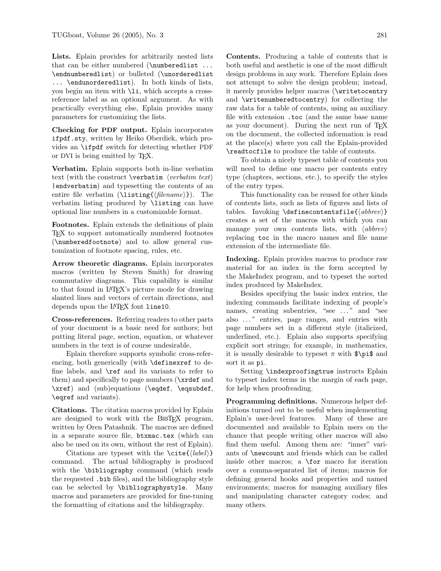Lists. Eplain provides for arbitrarily nested lists that can be either numbered (\numberedlist ... \endnumberedlist) or bulleted (\unorderedlist ... \endunorderedlist). In both kinds of lists, you begin an item with \li, which accepts a crossreference label as an optional argument. As with practically everything else, Eplain provides many parameters for customizing the lists.

Checking for PDF output. Eplain incorporates ifpdf.sty, written by Heiko Oberdiek, which provides an \ifpdf switch for detecting whether PDF or DVI is being emitted by TEX.

Verbatim. Eplain supports both in-line verbatim text (with the construct **\verbatim**  $\langle verbatim \ text \rangle$ |endverbatim) and typesetting the contents of an entire file verbatim (\listing{ $\{filename\}$ ). The verbatim listing produced by \listing can have optional line numbers in a customizable format.

Footnotes. Eplain extends the definitions of plain TEX to support automatically numbered footnotes (\numberedfootnote) and to allow general customization of footnote spacing, rules, etc.

Arrow theoretic diagrams. Eplain incorporates macros (written by Steven Smith) for drawing commutative diagrams. This capability is similar to that found in LATEX's picture mode for drawing slanted lines and vectors of certain directions, and depends upon the LAT<sub>E</sub>X font line10.

Cross-references. Referring readers to other parts of your document is a basic need for authors; but putting literal page, section, equation, or whatever numbers in the text is of course undesirable.

Eplain therefore supports symbolic cross-referencing, both generically (with \definexref to define labels, and \ref and its variants to refer to them) and specifically to page numbers (\xrdef and \xref) and (sub)equations (\eqdef, \eqsubdef, \eqref and variants).

Citations. The citation macros provided by Eplain are designed to work with the BIBT<sub>EX</sub> program, written by Oren Patashnik. The macros are defined in a separate source file, btxmac.tex (which can also be used on its own, without the rest of Eplain).

Citations are typeset with the  $\cite{label}\$ command. The actual bibliography is produced with the **\bibliography** command (which reads the requested .bib files), and the bibliography style can be selected by \bibliographystyle. Many macros and parameters are provided for fine-tuning the formatting of citations and the bibliography.

Contents. Producing a table of contents that is both useful and aesthetic is one of the most difficult design problems in any work. Therefore Eplain does not attempt to solve the design problem; instead, it merely provides helper macros (\writetocentry and \writenumberedtocentry) for collecting the raw data for a table of contents, using an auxiliary file with extension .toc (and the same base name as your document). During the next run of TFX on the document, the collected information is read at the place(s) where you call the Eplain-provided \readtocfile to produce the table of contents.

To obtain a nicely typeset table of contents you will need to define one macro per contents entry type (chapters, sections, etc.), to specify the styles of the entry types.

This functionality can be reused for other kinds of contents lists, such as lists of figures and lists of tables. Invoking \definecontentsfile{ $\{abbrev\}$ } creates a set of the macros with which you can manage your own contents lists, with  $\langle abbrev \rangle$ replacing toc in the macro names and file name extension of the intermediate file.

Indexing. Eplain provides macros to produce raw material for an index in the form accepted by the MakeIndex program, and to typeset the sorted index produced by MakeIndex.

Besides specifying the basic index entries, the indexing commands facilitate indexing of people's names, creating subentries, "see ..." and "see also . . . " entries, page ranges, and entries with page numbers set in a different style (italicized, underlined, etc.). Eplain also supports specifying explicit sort strings; for example, in mathematics, it is usually desirable to typeset  $\pi$  with  $\phi$ sort it as pi.

Setting \indexproofingtrue instructs Eplain to typeset index terms in the margin of each page, for help when proofreading.

Programming definitions. Numerous helper definitions turned out to be useful when implementing Eplain's user-level features. Many of these are documented and available to Eplain users on the chance that people writing other macros will also find them useful. Among them are: "inner" variants of \newcount and friends which can be called inside other macros; a \for macro for iteration over a comma-separated list of items; macros for defining general hooks and properties and named environments; macros for managing auxiliary files and manipulating character category codes; and many others.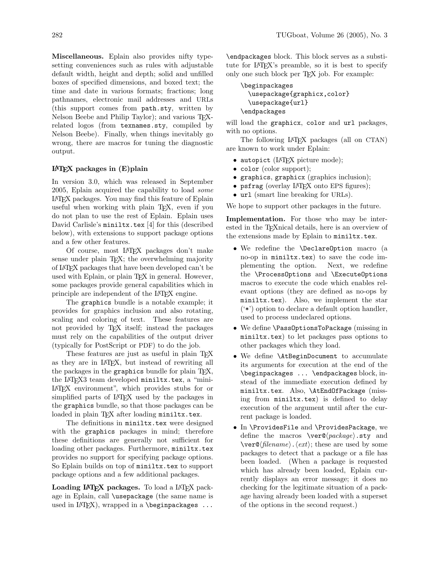Miscellaneous. Eplain also provides nifty typesetting conveniences such as rules with adjustable default width, height and depth; solid and unfilled boxes of specified dimensions, and boxed text; the time and date in various formats; fractions; long pathnames, electronic mail addresses and URLs (this support comes from path.sty, written by Nelson Beebe and Philip Taylor); and various T<sub>F</sub>Xrelated logos (from texnames.sty, compiled by Nelson Beebe). Finally, when things inevitably go wrong, there are macros for tuning the diagnostic output.

## $L^2E[X]$  packages in  $(E)$  plain

In version 3.0, which was released in September 2005, Eplain acquired the capability to load some LATEX packages. You may find this feature of Eplain useful when working with plain TEX, even if you do not plan to use the rest of Eplain. Eplain uses David Carlisle's miniltx.tex [4] for this (described below), with extensions to support package options and a few other features.

Of course, most LATEX packages don't make sense under plain T<sub>EX</sub>; the overwhelming majority of LATEX packages that have been developed can't be used with Eplain, or plain TEX in general. However, some packages provide general capabilities which in principle are independent of the LATEX engine.

The graphics bundle is a notable example; it provides for graphics inclusion and also rotating, scaling and coloring of text. These features are not provided by TEX itself; instead the packages must rely on the capabilities of the output driver (typically for PostScript or PDF) to do the job.

These features are just as useful in plain T<sub>EX</sub> as they are in LATEX, but instead of rewriting all the packages in the graphics bundle for plain T<sub>F</sub>X, the LAT<sub>F</sub>X3 team developed miniltx.tex, a "mini-LATEX environment", which provides stubs for or simplified parts of LAT<sub>EX</sub> used by the packages in the graphics bundle, so that those packages can be loaded in plain TFX after loading miniltx.tex.

The definitions in miniltx.tex were designed with the graphics packages in mind; therefore these definitions are generally not sufficient for loading other packages. Furthermore, miniltx.tex provides no support for specifying package options. So Eplain builds on top of miniltx.tex to support package options and a few additional packages.

Loading LAT<sub>E</sub>X packages. To load a LAT<sub>E</sub>X package in Eplain, call \usepackage (the same name is used in  $IATFX$ ), wrapped in a \beginpackages  $\ldots$ 

\endpackages block. This block serves as a substitute for LATEX's preamble, so it is best to specify only one such block per TEX job. For example:

```
\beginpackages
  \usepackage{graphicx,color}
  \usepackage{url}
\endpackages
```
will load the graphicx, color and url packages, with no options.

The following LATEX packages (all on CTAN) are known to work under Eplain:

- autopict (IAT<sub>EX</sub> picture mode);
- color (color support);
- graphics, graphicx (graphics inclusion);
- psfrag (overlay LATEX onto EPS figures);
- url (smart line breaking for URLs).

We hope to support other packages in the future.

Implementation. For those who may be interested in the TEXnical details, here is an overview of the extensions made by Eplain to miniltx.tex.

- We redefine the \DeclareOption macro (a no-op in miniltx.tex) to save the code implementing the option. Next, we redefine the \ProcessOptions and \ExecuteOptions macros to execute the code which enables relevant options (they are defined as no-ops by miniltx.tex). Also, we implement the star ('\*') option to declare a default option handler, used to process undeclared options.
- We define \PassOptionsToPackage (missing in miniltx.tex) to let packages pass options to other packages which they load.
- We define \AtBeginDocument to accumulate its arguments for execution at the end of the \beginpackages ... \endpackages block, instead of the immediate execution defined by miniltx.tex. Also, \AtEndOfPackage (missing from miniltx.tex) is defined to delay execution of the argument until after the current package is loaded.
- In \ProvidesFile and \ProvidesPackage, we define the macros  $\ver{\space}$ (package).sty and  $\langle \text{verc}(\text{filename}) \cdot \langle \text{ext} \rangle$ ; these are used by some packages to detect that a package or a file has been loaded. (When a package is requested which has already been loaded, Eplain currently displays an error message; it does no checking for the legitimate situation of a package having already been loaded with a superset of the options in the second request.)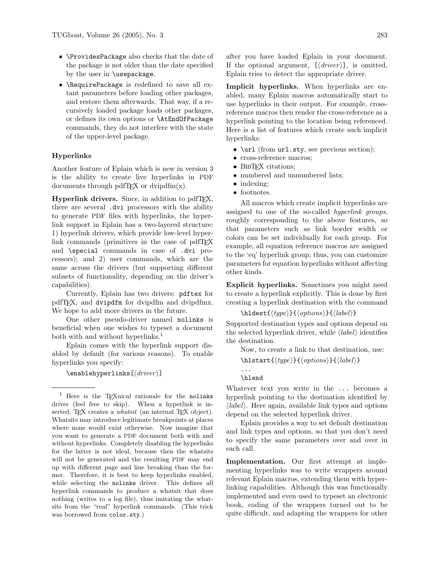- \ProvidesPackage also checks that the date of the package is not older than the date specified by the user in \usepackage.
- \RequirePackage is redefined to save all extant parameters before loading other packages, and restore them afterwards. That way, if a recursively loaded package loads other packages, or defines its own options or \AtEndOfPackage commands, they do not interfere with the state of the upper-level package.

## Hyperlinks

Another feature of Eplain which is new in version 3 is the ability to create live hyperlinks in PDF documents through pdfT $FX$  or dvipd $fm(x)$ .

Hyperlink drivers. Since, in addition to pdfT<sub>E</sub>X, there are several .dvi processors with the ability to generate PDF files with hyperlinks, the hyperlink support in Eplain has a two-layered structure: 1) hyperlink drivers, which provide low-level hyperlink commands (primitives in the case of pdfT<sub>E</sub>X and \special commands in case of .dvi processors); and 2) user commands, which are the same across the drivers (but supporting different subsets of functionality, depending on the driver's capabilities).

Currently, Eplain has two drivers: pdftex for pdfTEX, and dvipdfm for dvipdfm and dvipdfmx. We hope to add more drivers in the future.

One other pseudo-driver named nolinks is beneficial when one wishes to typeset a document both with and without hyperlinks.<sup>1</sup>

Eplain comes with the hyperlink support disabled by default (for various reasons). To enable hyperlinks you specify:

 $\text{length}$ yperlinks $[\langle driver \rangle]$ 

after you have loaded Eplain in your document. If the optional argument,  $[\langle driver \rangle]$ , is omitted, Eplain tries to detect the appropriate driver.

Implicit hyperlinks. When hyperlinks are enabled, many Eplain macros automatically start to use hyperlinks in their output. For example, crossreference macros then render the cross-reference as a hyperlink pointing to the location being referenced. Here is a list of features which create such implicit hyperlinks:

- \url (from url.sty, see previous section);
- cross-reference macros;
- BIBT<sub>F</sub>X citations;
- numbered and unnumbered lists;
- indexing:
- footnotes.

All macros which create implicit hyperlinks are assigned to one of the so-called hyperlink groups, roughly corresponding to the above features, so that parameters such as link border width or colors can be set individually for each group. For example, all equation reference macros are assigned to the 'eq' hyperlink group; thus, you can customize parameters for equation hyperlinks without affecting other kinds.

Explicit hyperlinks. Sometimes you might need to create a hyperlink explicitly. This is done by first creating a hyperlink destination with the command

$$
\verb|\hldest{|\text{type}\}{}| \verb|{|\text{}{\text{label}\}}
$$

Supported destination types and options depend on the selected hyperlink driver, while  $\langle label \rangle$  identifies the destination.

Now, to create a link to that destination, use:

```
\hbox{\label{thm:1}}
```

```
...
\hlend
```
Whatever text you write in the ... becomes a hyperlink pointing to the destination identified by  $\langle label \rangle$ . Here again, available link types and options depend on the selected hyperlink driver.

Eplain provides a way to set default destination and link types and options, so that you don't need to specify the same parameters over and over in each call.

Implementation. Our first attempt at implementing hyperlinks was to write wrappers around relevant Eplain macros, extending them with hyperlinking capabilities. Although this was functionally implemented and even used to typeset an electronic book, coding of the wrappers turned out to be quite difficult, and adapting the wrappers for other

<sup>&</sup>lt;sup>1</sup> Here is the T<sub>E</sub>Xnical rationale for the nolinks driver (feel free to skip). When a hyperlink is inserted, TEX creates a *whatsit* (an internal TEX object). Whatsits may introduce legitimate breakpoints at places where none would exist otherwise. Now imagine that you want to generate a PDF document both with and without hyperlinks. Completely disabling the hyperlinks for the latter is not ideal, because then the whatsits will not be generated and the resulting PDF may end up with different page and line breaking than the former. Therefore, it is best to keep hyperlinks enabled, while selecting the nolinks driver. This defines all hyperlink commands to produce a whatsit that does nothing (writes to a log file), thus imitating the whatsits from the "real" hyperlink commands. (This trick was borrowed from color.sty.)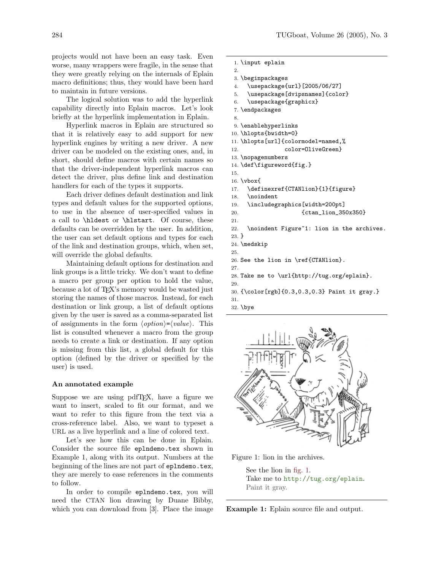projects would not have been an easy task. Even worse, many wrappers were fragile, in the sense that they were greatly relying on the internals of Eplain macro definitions; thus, they would have been hard to maintain in future versions.

The logical solution was to add the hyperlink capability directly into Eplain macros. Let's look briefly at the hyperlink implementation in Eplain.

Hyperlink macros in Eplain are structured so that it is relatively easy to add support for new hyperlink engines by writing a new driver. A new driver can be modeled on the existing ones, and, in short, should define macros with certain names so that the driver-independent hyperlink macros can detect the driver, plus define link and destination handlers for each of the types it supports.

Each driver defines default destination and link types and default values for the supported options, to use in the absence of user-specified values in a call to \hldest or \hlstart. Of course, these defaults can be overridden by the user. In addition, the user can set default options and types for each of the link and destination groups, which, when set, will override the global defaults.

Maintaining default options for destination and link groups is a little tricky. We don't want to define a macro per group per option to hold the value, because a lot of TEX's memory would be wasted just storing the names of those macros. Instead, for each destination or link group, a list of default options given by the user is saved as a comma-separated list of assignments in the form  $\langle option \rangle = \langle value \rangle$ . This list is consulted whenever a macro from the group needs to create a link or destination. If any option is missing from this list, a global default for this option (defined by the driver or specified by the user) is used.

#### An annotated example

Suppose we are using pdfT<sub>F</sub>X, have a figure we want to insert, scaled to fit our format, and we want to refer to this figure from the text via a cross-reference label. Also, we want to typeset a URL as a live hyperlink and a line of colored text.

Let's see how this can be done in Eplain. Consider the source file eplndemo.tex shown in Example 1, along with its output. Numbers at the beginning of the lines are not part of eplndemo.tex, they are merely to ease references in the comments to follow.

In order to compile eplndemo.tex, you will need the CTAN lion drawing by Duane Bibby, which you can download from [3]. Place the image

```
1. \input eplain
```

```
2.
```

```
3. \beginpackages
```

```
4. \usepackage{url}[2005/06/27]
```

```
5. \usepackage[dvipsnames]{color}
```

```
6. \usepackage{graphicx}
```

```
7. \endpackages
8.
```

```
9. \enablehyperlinks
```

```
10. \hlopts{bwidth=0}
```
- 11. \hlopts[url]{colormodel=named,%
- 12. color=OliveGreen}
- 13. \nopagenumbers
- 14. \def\figureword{fig.}
- 15.
- 16. \vbox{
- 17. \definexref{CTANlion}{1}{figure} 18. \noindent
- 19. \includegraphics[width=200pt]
- 20. {ctan\_lion\_350x350}
- 21.
- 22. \noindent Figure<sup>~1:</sup> lion in the archives.
- 23. }
- 24. \medskip 25.
- 26. See the lion in \ref{CTANlion}.
- 27.
- 28. Take me to \url{http://tug.org/eplain}. 29.
- 30. {\color[rgb]{0.3,0.3,0.3} Paint it gray.}
- 31.
- 32. \bye



Figure 1: lion in the archives.

See the lion in fig. 1. Take me to http://tug.org/eplain. Paint it gray.

Example 1: Eplain source file and output.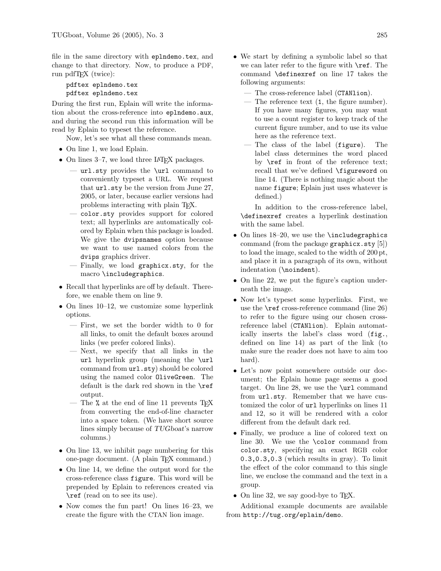file in the same directory with eplndemo.tex, and change to that directory. Now, to produce a PDF, run pdfT<sub>F</sub>X (twice):

pdftex eplndemo.tex pdftex eplndemo.tex

During the first run, Eplain will write the information about the cross-reference into eplndemo.aux, and during the second run this information will be read by Eplain to typeset the reference.

Now, let's see what all these commands mean.

- On line 1, we load Eplain.
- On lines 3–7, we load three LATFX packages.
	- url.sty provides the \url command to conveniently typeset a URL. We request that url.sty be the version from June 27, 2005, or later, because earlier versions had problems interacting with plain TEX.
	- color.sty provides support for colored text; all hyperlinks are automatically colored by Eplain when this package is loaded. We give the dvipsnames option because we want to use named colors from the dvips graphics driver.
	- Finally, we load graphicx.sty, for the macro \includegraphics.
- Recall that hyperlinks are off by default. Therefore, we enable them on line 9.
- On lines 10–12, we customize some hyperlink options.
	- First, we set the border width to 0 for all links, to omit the default boxes around links (we prefer colored links).
	- Next, we specify that all links in the url hyperlink group (meaning the \url command from  $ur1.sty$ ) should be colored using the named color OliveGreen. The default is the dark red shown in the \ref output.
	- The % at the end of line 11 prevents T<sub>F</sub>X from converting the end-of-line character into a space token. (We have short source lines simply because of TUGboat's narrow columns.)
- On line 13, we inhibit page numbering for this one-page document. (A plain TEX command.)
- On line 14, we define the output word for the cross-reference class figure. This word will be prepended by Eplain to references created via \ref (read on to see its use).
- Now comes the fun part! On lines 16–23, we create the figure with the CTAN lion image.
- We start by defining a symbolic label so that we can later refer to the figure with  $\ref{r}$ . The command \definexref on line 17 takes the following arguments:
	- The cross-reference label (CTANlion).
	- The reference text (1, the figure number). If you have many figures, you may want to use a count register to keep track of the current figure number, and to use its value here as the reference text.
	- The class of the label (figure). The label class determines the word placed by \ref in front of the reference text; recall that we've defined \figureword on line 14. (There is nothing magic about the name figure; Eplain just uses whatever is defined.)

In addition to the cross-reference label, \definexref creates a hyperlink destination with the same label.

- On lines 18–20, we use the **\includegraphics** command (from the package graphicx.sty [5]) to load the image, scaled to the width of 200 pt, and place it in a paragraph of its own, without indentation (\noindent).
- On line 22, we put the figure's caption underneath the image.
- Now let's typeset some hyperlinks. First, we use the \ref cross-reference command (line 26) to refer to the figure using our chosen crossreference label (CTANlion). Eplain automatically inserts the label's class word (fig., defined on line 14) as part of the link (to make sure the reader does not have to aim too hard).
- Let's now point somewhere outside our document; the Eplain home page seems a good target. On line 28, we use the \url command from url.sty. Remember that we have customized the color of url hyperlinks on lines 11 and 12, so it will be rendered with a color different from the default dark red.
- Finally, we produce a line of colored text on line 30. We use the \color command from color.sty, specifying an exact RGB color 0.3,0.3,0.3 (which results in gray). To limit the effect of the color command to this single line, we enclose the command and the text in a group.
- On line 32, we say good-bye to T<sub>E</sub>X.

Additional example documents are available from http://tug.org/eplain/demo.